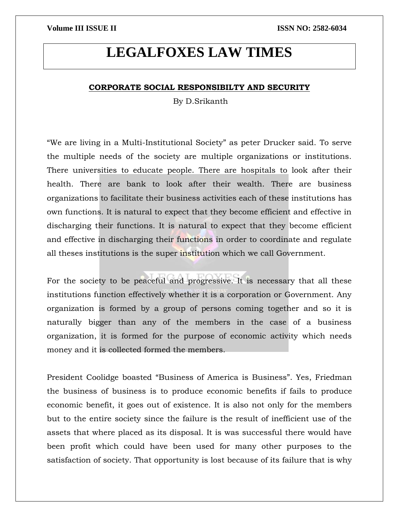# **LEGALFOXES LAW TIMES**

## **CORPORATE SOCIAL RESPONSIBILTY AND SECURITY**

By D.Srikanth

"We are living in a Multi-Institutional Society" as peter Drucker said. To serve the multiple needs of the society are multiple organizations or institutions. There universities to educate people. There are hospitals to look after their health. There are bank to look after their wealth. There are business organizations to facilitate their business activities each of these institutions has own functions. It is natural to expect that they become efficient and effective in discharging their functions. It is natural to expect that they become efficient and effective in discharging their functions in order to coordinate and regulate all theses institutions is the super institution which we call Government.

For the society to be peaceful and progressive. It is necessary that all these institutions function effectively whether it is a corporation or Government. Any organization is formed by a group of persons coming together and so it is naturally bigger than any of the members in the case of a business organization, it is formed for the purpose of economic activity which needs money and it is collected formed the members.

President Coolidge boasted "Business of America is Business". Yes, Friedman the business of business is to produce economic benefits if fails to produce economic benefit, it goes out of existence. It is also not only for the members but to the entire society since the failure is the result of inefficient use of the assets that where placed as its disposal. It is was successful there would have been profit which could have been used for many other purposes to the satisfaction of society. That opportunity is lost because of its failure that is why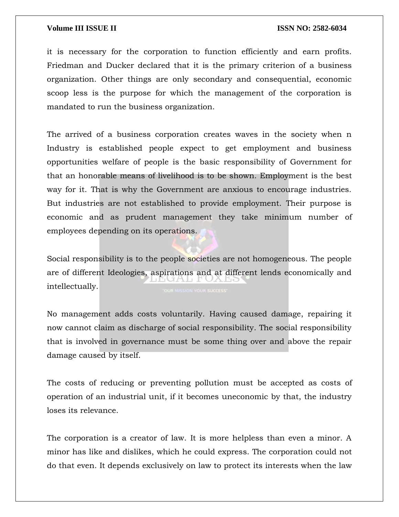it is necessary for the corporation to function efficiently and earn profits. Friedman and Ducker declared that it is the primary criterion of a business organization. Other things are only secondary and consequential, economic scoop less is the purpose for which the management of the corporation is mandated to run the business organization.

The arrived of a business corporation creates waves in the society when n Industry is established people expect to get employment and business opportunities welfare of people is the basic responsibility of Government for that an honorable means of livelihood is to be shown. Employment is the best way for it. That is why the Government are anxious to encourage industries. But industries are not established to provide employment. Their purpose is economic and as prudent management they take minimum number of employees depending on its operations.

Social responsibility is to the people societies are not homogeneous. The people are of different Ideologies, aspirations and at different lends economically and iva a territori intellectually.

No management adds costs voluntarily. Having caused damage, repairing it now cannot claim as discharge of social responsibility. The social responsibility that is involved in governance must be some thing over and above the repair damage caused by itself.

The costs of reducing or preventing pollution must be accepted as costs of operation of an industrial unit, if it becomes uneconomic by that, the industry loses its relevance.

The corporation is a creator of law. It is more helpless than even a minor. A minor has like and dislikes, which he could express. The corporation could not do that even. It depends exclusively on law to protect its interests when the law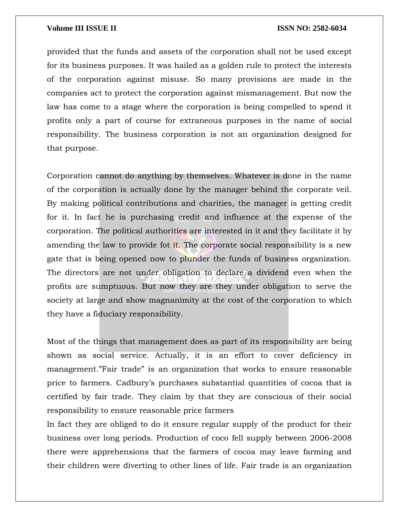provided that the funds and assets of the corporation shall not be used except for its business purposes. It was hailed as a golden rule to protect the interests of the corporation against misuse. So many provisions are made in the companies act to protect the corporation against mismanagement. But now the law has come to a stage where the corporation is being compelled to spend it profits only a part of course for extraneous purposes in the name of social responsibility. The business corporation is not an organization designed for that purpose.

Corporation cannot do anything by themselves. Whatever is done in the name of the corporation is actually done by the manager behind the corporate veil. By making political contributions and charities, the manager is getting credit for it. In fact he is purchasing credit and influence at the expense of the corporation. The political authorities are interested in it and they facilitate it by amending the law to provide fot it. The corporate social responsibility is a new gate that is being opened now to plunder the funds of business organization. The directors are not under obligation to declare a dividend even when the profits are sumptuous. But now they are they under obligation to serve the society at large and show magnanimity at the cost of the corporation to which they have a fiduciary responsibility.

Most of the things that management does as part of its responsibility are being shown as social service. Actually, it is an effort to cover deficiency in management."Fair trade" is an organization that works to ensure reasonable price to farmers. Cadbury's purchases substantial quantities of cocoa that is certified by fair trade. They claim by that they are conscious of their social responsibility to ensure reasonable price farmers

In fact they are obliged to do it ensure regular supply of the product for their business over long periods. Production of coco fell supply between 2006-2008 there were apprehensions that the farmers of cocoa may leave farming and their children were diverting to other lines of life. Fair trade is an organization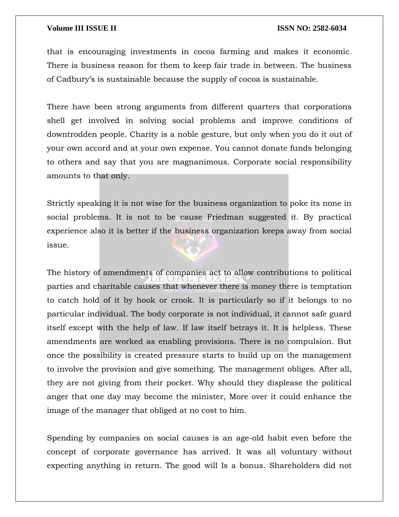that is encouraging investments in cocoa farming and makes it economic. There is business reason for them to keep fair trade in between. The business of Cadbury's is sustainable because the supply of cocoa is sustainable.

There have been strong arguments from different quarters that corporations shell get involved in solving social problems and improve conditions of downtrodden people. Charity is a noble gesture, but only when you do it out of your own accord and at your own expense. You cannot donate funds belonging to others and say that you are magnanimous. Corporate social responsibility amounts to that only.

Strictly speaking it is not wise for the business organization to poke its none in social problems. It is not to be cause Friedman suggested it. By practical experience also it is better if the business organization keeps away from social issue.

The history of amendments of companies act to allow contributions to political parties and charitable causes that whenever there is money there is temptation to catch hold of it by hook or crook. It is particularly so if it belongs to no particular individual. The body corporate is not individual, it cannot safe guard itself except with the help of law. If law itself betrays it. It is helpless. These amendments are worked as enabling provisions. There is no compulsion. But once the possibility is created pressure starts to build up on the management to involve the provision and give something. The management obliges. After all, they are not giving from their pocket. Why should they displease the political anger that one day may become the minister, More over it could enhance the image of the manager that obliged at no cost to him.

Spending by companies on social causes is an age-old habit even before the concept of corporate governance has arrived. It was all voluntary without expecting anything in return. The good will Is a bonus. Shareholders did not